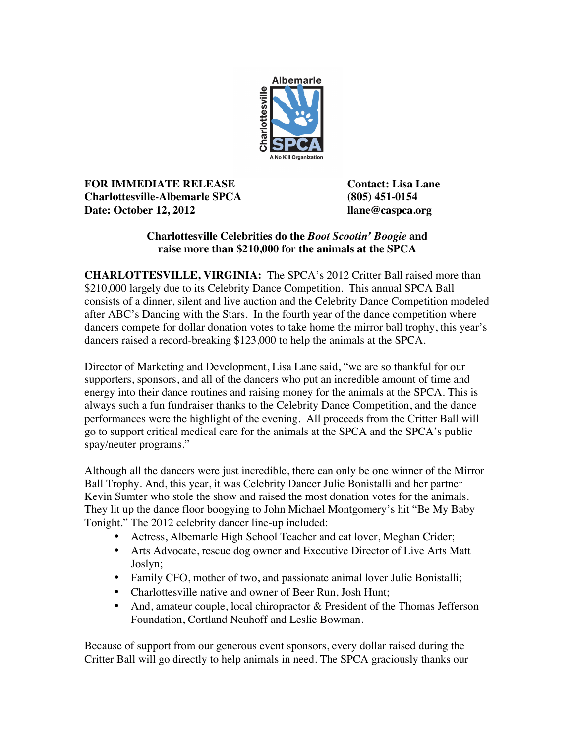

**FOR IMMEDIATE RELEASE Contact: Lisa Lane Charlottesville-Albemarle SPCA (805) 451-0154 Date: October 12, 2012 llane@caspca.org**

## **Charlottesville Celebrities do the** *Boot Scootin' Boogie* **and raise more than \$210,000 for the animals at the SPCA**

**CHARLOTTESVILLE, VIRGINIA:** The SPCA's 2012 Critter Ball raised more than \$210,000 largely due to its Celebrity Dance Competition. This annual SPCA Ball consists of a dinner, silent and live auction and the Celebrity Dance Competition modeled after ABC's Dancing with the Stars. In the fourth year of the dance competition where dancers compete for dollar donation votes to take home the mirror ball trophy, this year's dancers raised a record-breaking \$123,000 to help the animals at the SPCA.

Director of Marketing and Development, Lisa Lane said, "we are so thankful for our supporters, sponsors, and all of the dancers who put an incredible amount of time and energy into their dance routines and raising money for the animals at the SPCA. This is always such a fun fundraiser thanks to the Celebrity Dance Competition, and the dance performances were the highlight of the evening. All proceeds from the Critter Ball will go to support critical medical care for the animals at the SPCA and the SPCA's public spay/neuter programs."

Although all the dancers were just incredible, there can only be one winner of the Mirror Ball Trophy. And, this year, it was Celebrity Dancer Julie Bonistalli and her partner Kevin Sumter who stole the show and raised the most donation votes for the animals. They lit up the dance floor boogying to John Michael Montgomery's hit "Be My Baby Tonight." The 2012 celebrity dancer line-up included:

- Actress, Albemarle High School Teacher and cat lover, Meghan Crider;
- Arts Advocate, rescue dog owner and Executive Director of Live Arts Matt Joslyn;
- Family CFO, mother of two, and passionate animal lover Julie Bonistalli;
- Charlottesville native and owner of Beer Run, Josh Hunt;
- And, amateur couple, local chiropractor & President of the Thomas Jefferson Foundation, Cortland Neuhoff and Leslie Bowman.

Because of support from our generous event sponsors, every dollar raised during the Critter Ball will go directly to help animals in need. The SPCA graciously thanks our